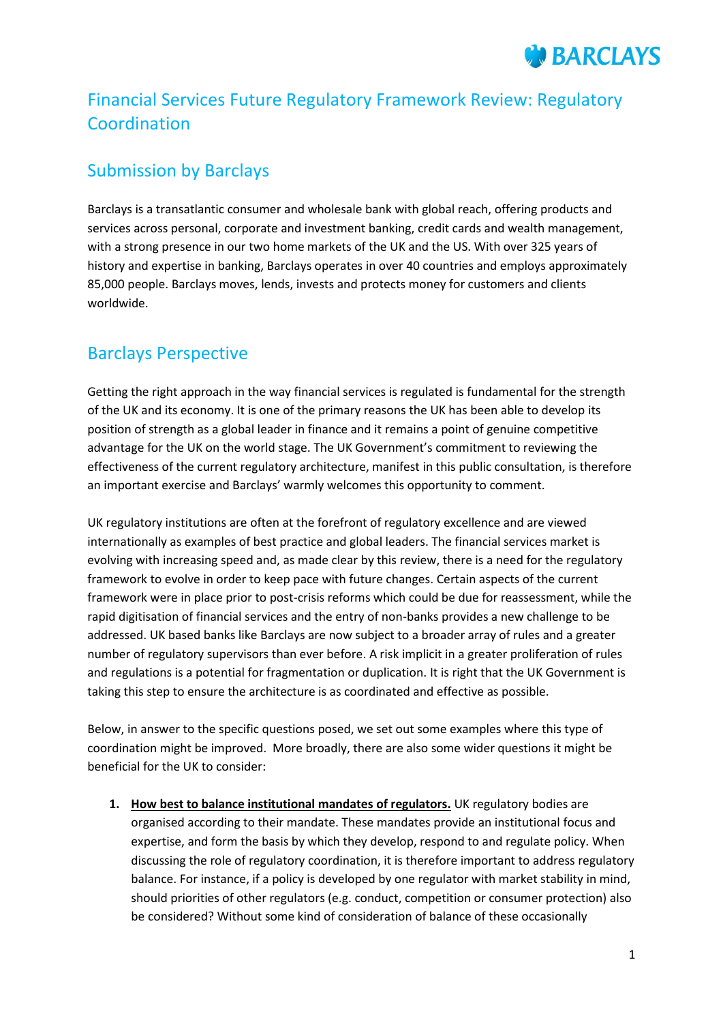# Financial Services Future Regulatory Framework Review: Regulatory Coordination

# Submission by Barclays

Barclays is a transatlantic consumer and wholesale bank with global reach, offering products and services across personal, corporate and investment banking, credit cards and wealth management, with a strong presence in our two home markets of the UK and the US. With over 325 years of history and expertise in banking, Barclays operates in over 40 countries and employs approximately 85,000 people. Barclays moves, lends, invests and protects money for customers and clients worldwide.

# Barclays Perspective

Getting the right approach in the way financial services is regulated is fundamental for the strength of the UK and its economy. It is one of the primary reasons the UK has been able to develop its position of strength as a global leader in finance and it remains a point of genuine competitive advantage for the UK on the world stage. The UK Government's commitment to reviewing the effectiveness of the current regulatory architecture, manifest in this public consultation, is therefore an important exercise and Barclays' warmly welcomes this opportunity to comment.

UK regulatory institutions are often at the forefront of regulatory excellence and are viewed internationally as examples of best practice and global leaders. The financial services market is evolving with increasing speed and, as made clear by this review, there is a need for the regulatory framework to evolve in order to keep pace with future changes. Certain aspects of the current framework were in place prior to post-crisis reforms which could be due for reassessment, while the rapid digitisation of financial services and the entry of non-banks provides a new challenge to be addressed. UK based banks like Barclays are now subject to a broader array of rules and a greater number of regulatory supervisors than ever before. A risk implicit in a greater proliferation of rules and regulations is a potential for fragmentation or duplication. It is right that the UK Government is taking this step to ensure the architecture is as coordinated and effective as possible.

Below, in answer to the specific questions posed, we set out some examples where this type of coordination might be improved. More broadly, there are also some wider questions it might be beneficial for the UK to consider:

**1. How best to balance institutional mandates of regulators.** UK regulatory bodies are organised according to their mandate. These mandates provide an institutional focus and expertise, and form the basis by which they develop, respond to and regulate policy. When discussing the role of regulatory coordination, it is therefore important to address regulatory balance. For instance, if a policy is developed by one regulator with market stability in mind, should priorities of other regulators (e.g. conduct, competition or consumer protection) also be considered? Without some kind of consideration of balance of these occasionally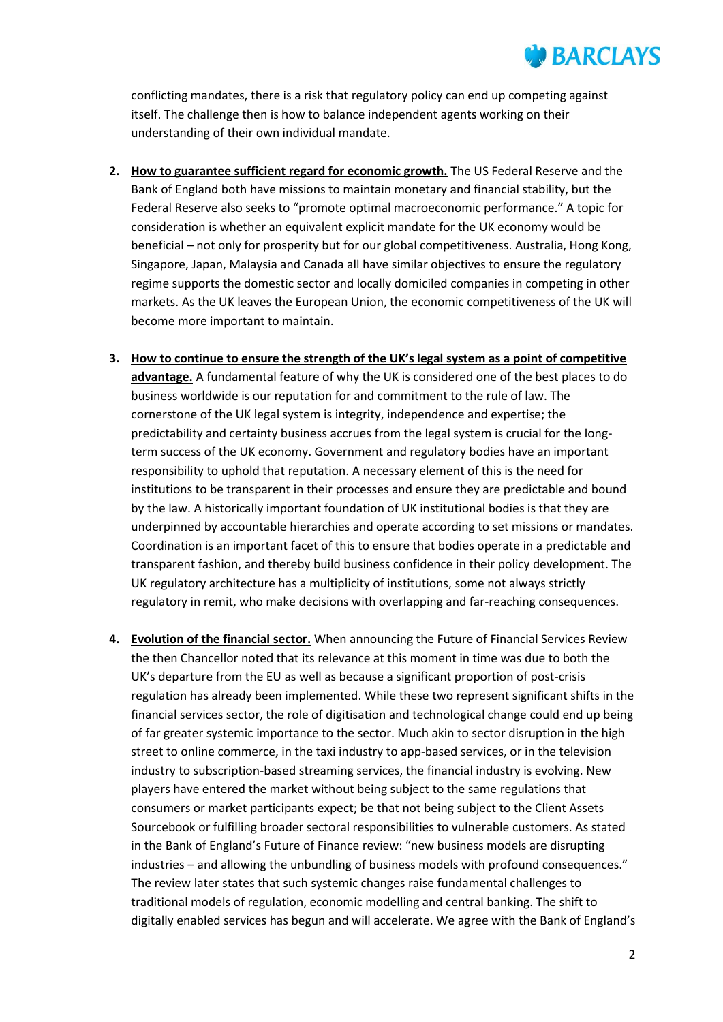conflicting mandates, there is a risk that regulatory policy can end up competing against itself. The challenge then is how to balance independent agents working on their understanding of their own individual mandate.

- **2. How to guarantee sufficient regard for economic growth.** The US Federal Reserve and the Bank of England both have missions to maintain monetary and financial stability, but the Federal Reserve also seeks to "promote optimal macroeconomic performance." A topic for consideration is whether an equivalent explicit mandate for the UK economy would be beneficial – not only for prosperity but for our global competitiveness. Australia, Hong Kong, Singapore, Japan, Malaysia and Canada all have similar objectives to ensure the regulatory regime supports the domestic sector and locally domiciled companies in competing in other markets. As the UK leaves the European Union, the economic competitiveness of the UK will become more important to maintain.
- **3. How to continue to ensure the strength of the UK's legal system as a point of competitive advantage.** A fundamental feature of why the UK is considered one of the best places to do business worldwide is our reputation for and commitment to the rule of law. The cornerstone of the UK legal system is integrity, independence and expertise; the predictability and certainty business accrues from the legal system is crucial for the longterm success of the UK economy. Government and regulatory bodies have an important responsibility to uphold that reputation. A necessary element of this is the need for institutions to be transparent in their processes and ensure they are predictable and bound by the law. A historically important foundation of UK institutional bodies is that they are underpinned by accountable hierarchies and operate according to set missions or mandates. Coordination is an important facet of this to ensure that bodies operate in a predictable and transparent fashion, and thereby build business confidence in their policy development. The UK regulatory architecture has a multiplicity of institutions, some not always strictly regulatory in remit, who make decisions with overlapping and far-reaching consequences.
- **4. Evolution of the financial sector.** When announcing the Future of Financial Services Review the then Chancellor noted that its relevance at this moment in time was due to both the UK's departure from the EU as well as because a significant proportion of post-crisis regulation has already been implemented. While these two represent significant shifts in the financial services sector, the role of digitisation and technological change could end up being of far greater systemic importance to the sector. Much akin to sector disruption in the high street to online commerce, in the taxi industry to app-based services, or in the television industry to subscription-based streaming services, the financial industry is evolving. New players have entered the market without being subject to the same regulations that consumers or market participants expect; be that not being subject to the Client Assets Sourcebook or fulfilling broader sectoral responsibilities to vulnerable customers. As stated in the Bank of England's Future of Finance review: "new business models are disrupting industries – and allowing the unbundling of business models with profound consequences." The review later states that such systemic changes raise fundamental challenges to traditional models of regulation, economic modelling and central banking. The shift to digitally enabled services has begun and will accelerate. We agree with the Bank of England's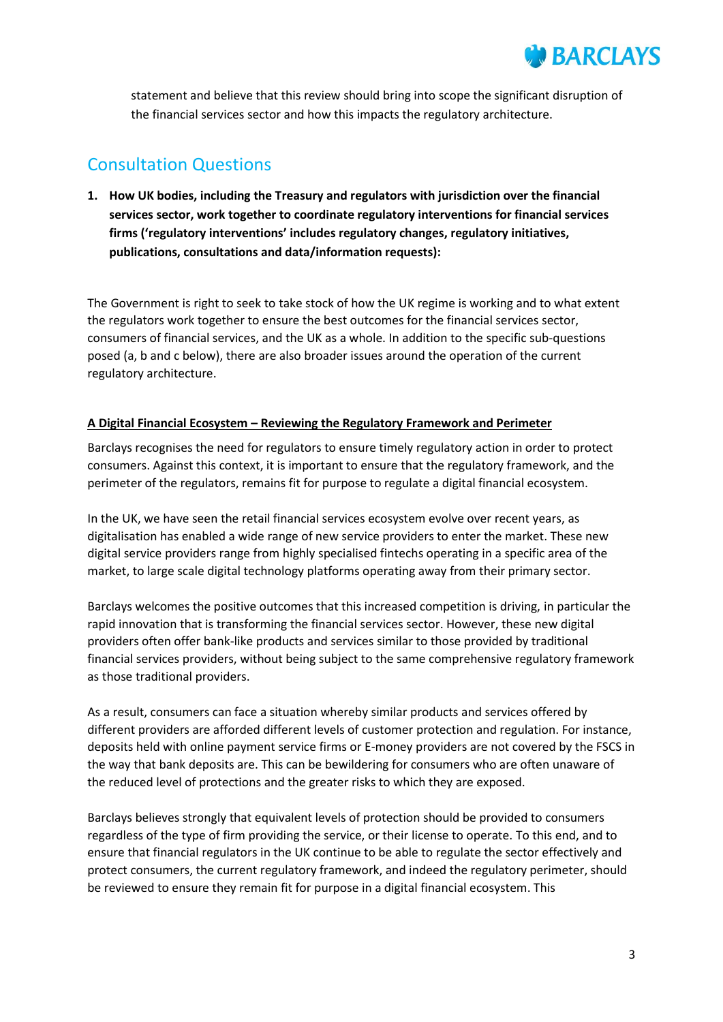

statement and believe that this review should bring into scope the significant disruption of the financial services sector and how this impacts the regulatory architecture.

# Consultation Questions

**1. How UK bodies, including the Treasury and regulators with jurisdiction over the financial services sector, work together to coordinate regulatory interventions for financial services firms ('regulatory interventions' includes regulatory changes, regulatory initiatives, publications, consultations and data/information requests):**

The Government is right to seek to take stock of how the UK regime is working and to what extent the regulators work together to ensure the best outcomes for the financial services sector, consumers of financial services, and the UK as a whole. In addition to the specific sub-questions posed (a, b and c below), there are also broader issues around the operation of the current regulatory architecture.

## **A Digital Financial Ecosystem – Reviewing the Regulatory Framework and Perimeter**

Barclays recognises the need for regulators to ensure timely regulatory action in order to protect consumers. Against this context, it is important to ensure that the regulatory framework, and the perimeter of the regulators, remains fit for purpose to regulate a digital financial ecosystem.

In the UK, we have seen the retail financial services ecosystem evolve over recent years, as digitalisation has enabled a wide range of new service providers to enter the market. These new digital service providers range from highly specialised fintechs operating in a specific area of the market, to large scale digital technology platforms operating away from their primary sector.

Barclays welcomes the positive outcomes that this increased competition is driving, in particular the rapid innovation that is transforming the financial services sector. However, these new digital providers often offer bank-like products and services similar to those provided by traditional financial services providers, without being subject to the same comprehensive regulatory framework as those traditional providers.

As a result, consumers can face a situation whereby similar products and services offered by different providers are afforded different levels of customer protection and regulation. For instance, deposits held with online payment service firms or E-money providers are not covered by the FSCS in the way that bank deposits are. This can be bewildering for consumers who are often unaware of the reduced level of protections and the greater risks to which they are exposed.

Barclays believes strongly that equivalent levels of protection should be provided to consumers regardless of the type of firm providing the service, or their license to operate. To this end, and to ensure that financial regulators in the UK continue to be able to regulate the sector effectively and protect consumers, the current regulatory framework, and indeed the regulatory perimeter, should be reviewed to ensure they remain fit for purpose in a digital financial ecosystem. This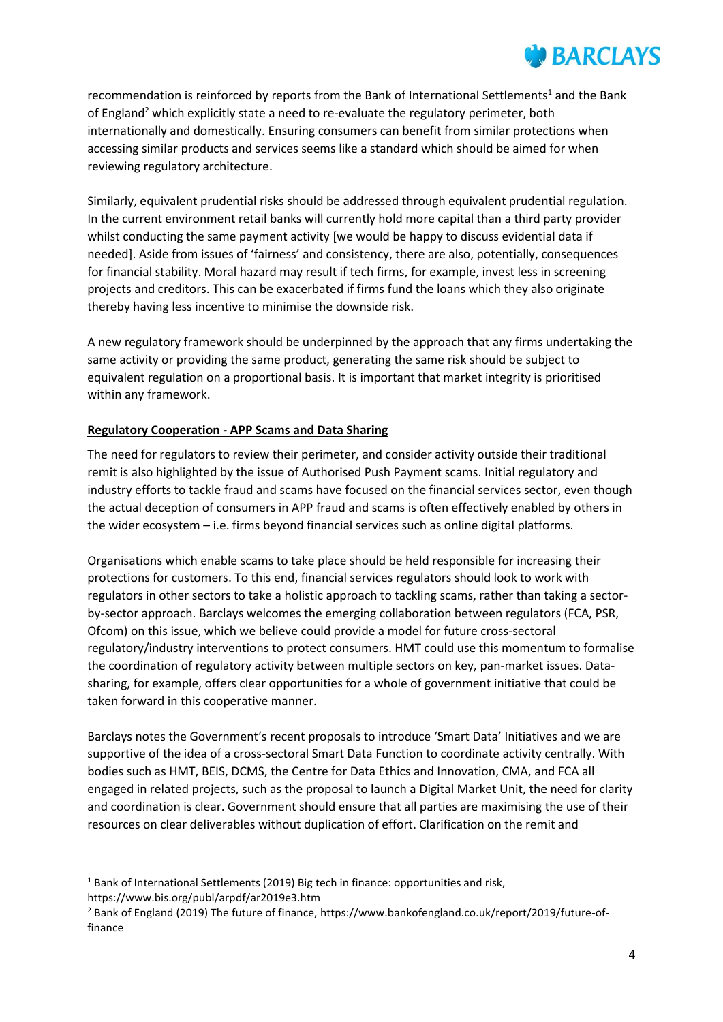recommendation is reinforced by reports from the Bank of International Settlements<sup>1</sup> and the Bank of England<sup>2</sup> which explicitly state a need to re-evaluate the regulatory perimeter, both internationally and domestically. Ensuring consumers can benefit from similar protections when accessing similar products and services seems like a standard which should be aimed for when reviewing regulatory architecture.

Similarly, equivalent prudential risks should be addressed through equivalent prudential regulation. In the current environment retail banks will currently hold more capital than a third party provider whilst conducting the same payment activity [we would be happy to discuss evidential data if needed]. Aside from issues of 'fairness' and consistency, there are also, potentially, consequences for financial stability. Moral hazard may result if tech firms, for example, invest less in screening projects and creditors. This can be exacerbated if firms fund the loans which they also originate thereby having less incentive to minimise the downside risk.

A new regulatory framework should be underpinned by the approach that any firms undertaking the same activity or providing the same product, generating the same risk should be subject to equivalent regulation on a proportional basis. It is important that market integrity is prioritised within any framework.

# **Regulatory Cooperation - APP Scams and Data Sharing**

The need for regulators to review their perimeter, and consider activity outside their traditional remit is also highlighted by the issue of Authorised Push Payment scams. Initial regulatory and industry efforts to tackle fraud and scams have focused on the financial services sector, even though the actual deception of consumers in APP fraud and scams is often effectively enabled by others in the wider ecosystem – i.e. firms beyond financial services such as online digital platforms.

Organisations which enable scams to take place should be held responsible for increasing their protections for customers. To this end, financial services regulators should look to work with regulators in other sectors to take a holistic approach to tackling scams, rather than taking a sectorby-sector approach. Barclays welcomes the emerging collaboration between regulators (FCA, PSR, Ofcom) on this issue, which we believe could provide a model for future cross-sectoral regulatory/industry interventions to protect consumers. HMT could use this momentum to formalise the coordination of regulatory activity between multiple sectors on key, pan-market issues. Datasharing, for example, offers clear opportunities for a whole of government initiative that could be taken forward in this cooperative manner.

Barclays notes the Government's recent proposals to introduce 'Smart Data' Initiatives and we are supportive of the idea of a cross-sectoral Smart Data Function to coordinate activity centrally. With bodies such as HMT, BEIS, DCMS, the Centre for Data Ethics and Innovation, CMA, and FCA all engaged in related projects, such as the proposal to launch a Digital Market Unit, the need for clarity and coordination is clear. Government should ensure that all parties are maximising the use of their resources on clear deliverables without duplication of effort. Clarification on the remit and

1

<sup>&</sup>lt;sup>1</sup> Bank of International Settlements (2019) Big tech in finance: opportunities and risk, https://www.bis.org/publ/arpdf/ar2019e3.htm

<sup>2</sup> Bank of England (2019) The future of finance, https://www.bankofengland.co.uk/report/2019/future-offinance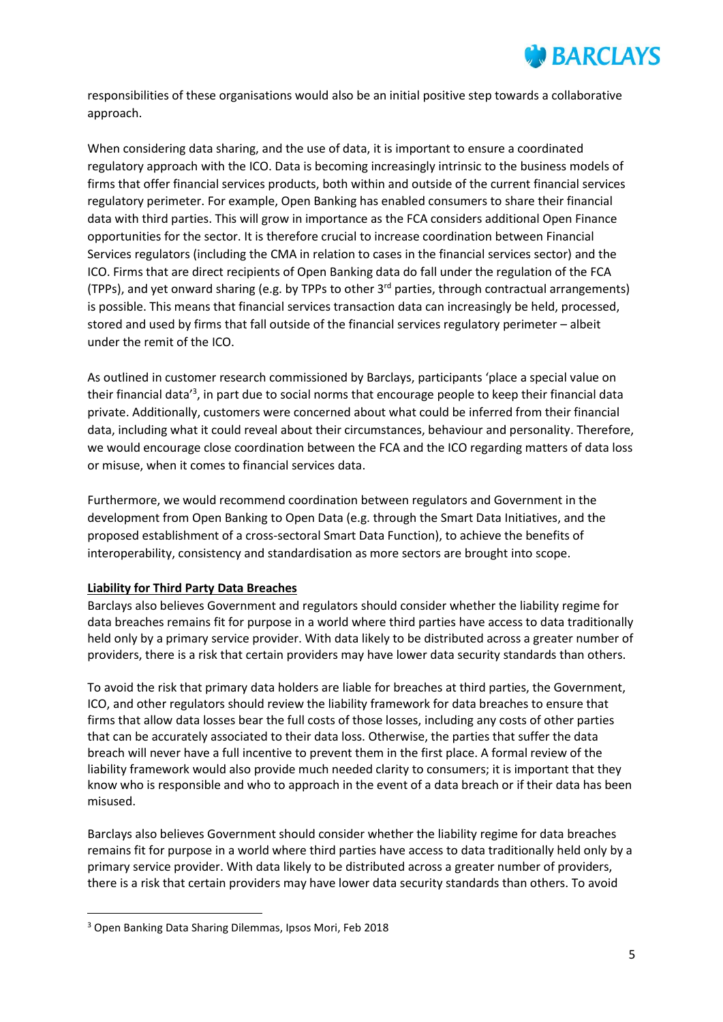

responsibilities of these organisations would also be an initial positive step towards a collaborative approach.

When considering data sharing, and the use of data, it is important to ensure a coordinated regulatory approach with the ICO. Data is becoming increasingly intrinsic to the business models of firms that offer financial services products, both within and outside of the current financial services regulatory perimeter. For example, Open Banking has enabled consumers to share their financial data with third parties. This will grow in importance as the FCA considers additional Open Finance opportunities for the sector. It is therefore crucial to increase coordination between Financial Services regulators (including the CMA in relation to cases in the financial services sector) and the ICO. Firms that are direct recipients of Open Banking data do fall under the regulation of the FCA (TPPs), and yet onward sharing (e.g. by TPPs to other 3rd parties, through contractual arrangements) is possible. This means that financial services transaction data can increasingly be held, processed, stored and used by firms that fall outside of the financial services regulatory perimeter – albeit under the remit of the ICO.

As outlined in customer research commissioned by Barclays, participants 'place a special value on their financial data<sup>'3</sup>, in part due to social norms that encourage people to keep their financial data private. Additionally, customers were concerned about what could be inferred from their financial data, including what it could reveal about their circumstances, behaviour and personality. Therefore, we would encourage close coordination between the FCA and the ICO regarding matters of data loss or misuse, when it comes to financial services data.

Furthermore, we would recommend coordination between regulators and Government in the development from Open Banking to Open Data (e.g. through the Smart Data Initiatives, and the proposed establishment of a cross-sectoral Smart Data Function), to achieve the benefits of interoperability, consistency and standardisation as more sectors are brought into scope.

#### **Liability for Third Party Data Breaches**

Barclays also believes Government and regulators should consider whether the liability regime for data breaches remains fit for purpose in a world where third parties have access to data traditionally held only by a primary service provider. With data likely to be distributed across a greater number of providers, there is a risk that certain providers may have lower data security standards than others.

To avoid the risk that primary data holders are liable for breaches at third parties, the Government, ICO, and other regulators should review the liability framework for data breaches to ensure that firms that allow data losses bear the full costs of those losses, including any costs of other parties that can be accurately associated to their data loss. Otherwise, the parties that suffer the data breach will never have a full incentive to prevent them in the first place. A formal review of the liability framework would also provide much needed clarity to consumers; it is important that they know who is responsible and who to approach in the event of a data breach or if their data has been misused.

Barclays also believes Government should consider whether the liability regime for data breaches remains fit for purpose in a world where third parties have access to data traditionally held only by a primary service provider. With data likely to be distributed across a greater number of providers, there is a risk that certain providers may have lower data security standards than others. To avoid

**.** 

<sup>3</sup> Open Banking Data Sharing Dilemmas, Ipsos Mori, Feb 2018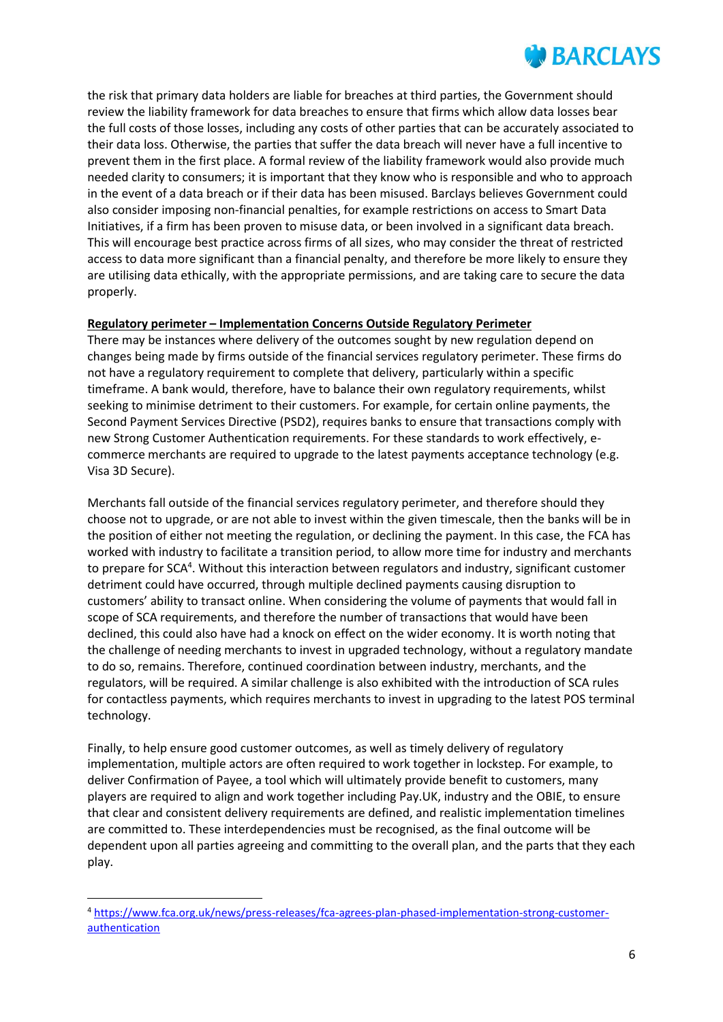the risk that primary data holders are liable for breaches at third parties, the Government should review the liability framework for data breaches to ensure that firms which allow data losses bear the full costs of those losses, including any costs of other parties that can be accurately associated to their data loss. Otherwise, the parties that suffer the data breach will never have a full incentive to prevent them in the first place. A formal review of the liability framework would also provide much needed clarity to consumers; it is important that they know who is responsible and who to approach in the event of a data breach or if their data has been misused. Barclays believes Government could also consider imposing non-financial penalties, for example restrictions on access to Smart Data Initiatives, if a firm has been proven to misuse data, or been involved in a significant data breach. This will encourage best practice across firms of all sizes, who may consider the threat of restricted access to data more significant than a financial penalty, and therefore be more likely to ensure they are utilising data ethically, with the appropriate permissions, and are taking care to secure the data properly.

## **Regulatory perimeter – Implementation Concerns Outside Regulatory Perimeter**

There may be instances where delivery of the outcomes sought by new regulation depend on changes being made by firms outside of the financial services regulatory perimeter. These firms do not have a regulatory requirement to complete that delivery, particularly within a specific timeframe. A bank would, therefore, have to balance their own regulatory requirements, whilst seeking to minimise detriment to their customers. For example, for certain online payments, the Second Payment Services Directive (PSD2), requires banks to ensure that transactions comply with new Strong Customer Authentication requirements. For these standards to work effectively, ecommerce merchants are required to upgrade to the latest payments acceptance technology (e.g. Visa 3D Secure).

Merchants fall outside of the financial services regulatory perimeter, and therefore should they choose not to upgrade, or are not able to invest within the given timescale, then the banks will be in the position of either not meeting the regulation, or declining the payment. In this case, the FCA has worked with industry to facilitate a transition period, to allow more time for industry and merchants to prepare for SCA<sup>4</sup>. Without this interaction between regulators and industry, significant customer detriment could have occurred, through multiple declined payments causing disruption to customers' ability to transact online. When considering the volume of payments that would fall in scope of SCA requirements, and therefore the number of transactions that would have been declined, this could also have had a knock on effect on the wider economy. It is worth noting that the challenge of needing merchants to invest in upgraded technology, without a regulatory mandate to do so, remains. Therefore, continued coordination between industry, merchants, and the regulators, will be required. A similar challenge is also exhibited with the introduction of SCA rules for contactless payments, which requires merchants to invest in upgrading to the latest POS terminal technology.

Finally, to help ensure good customer outcomes, as well as timely delivery of regulatory implementation, multiple actors are often required to work together in lockstep. For example, to deliver Confirmation of Payee, a tool which will ultimately provide benefit to customers, many players are required to align and work together including Pay.UK, industry and the OBIE, to ensure that clear and consistent delivery requirements are defined, and realistic implementation timelines are committed to. These interdependencies must be recognised, as the final outcome will be dependent upon all parties agreeing and committing to the overall plan, and the parts that they each play.

 $\overline{a}$ <sup>4</sup> [https://www.fca.org.uk/news/press-releases/fca-agrees-plan-phased-implementation-strong-customer](https://www.fca.org.uk/news/press-releases/fca-agrees-plan-phased-implementation-strong-customer-authentication)[authentication](https://www.fca.org.uk/news/press-releases/fca-agrees-plan-phased-implementation-strong-customer-authentication)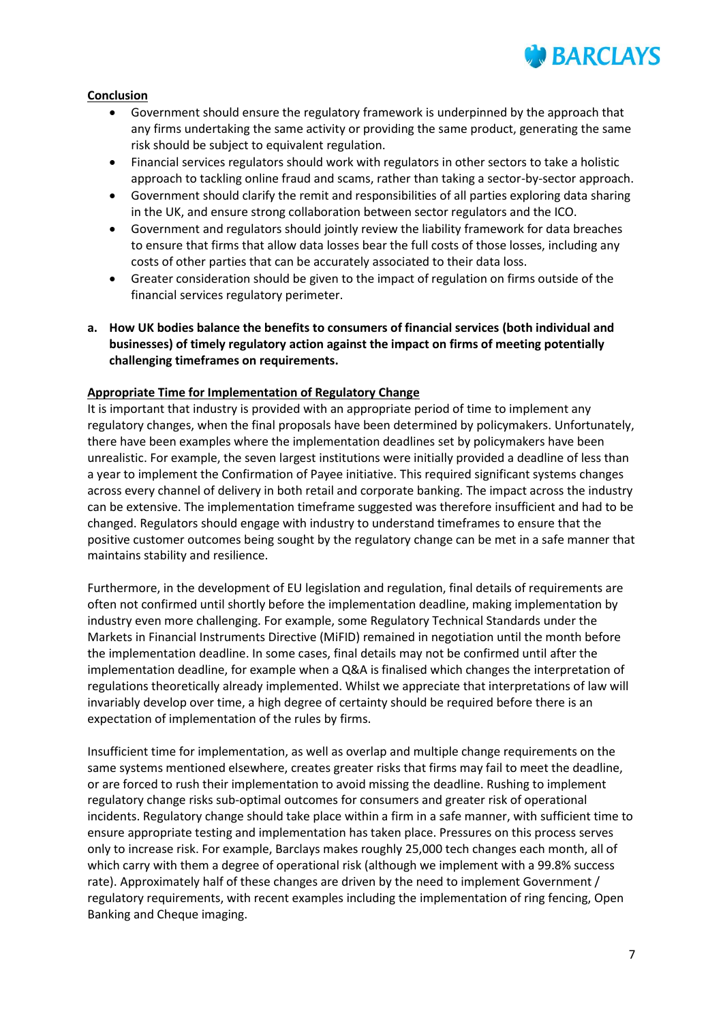

#### **Conclusion**

- Government should ensure the regulatory framework is underpinned by the approach that any firms undertaking the same activity or providing the same product, generating the same risk should be subject to equivalent regulation.
- Financial services regulators should work with regulators in other sectors to take a holistic approach to tackling online fraud and scams, rather than taking a sector-by-sector approach.
- Government should clarify the remit and responsibilities of all parties exploring data sharing in the UK, and ensure strong collaboration between sector regulators and the ICO.
- Government and regulators should jointly review the liability framework for data breaches to ensure that firms that allow data losses bear the full costs of those losses, including any costs of other parties that can be accurately associated to their data loss.
- Greater consideration should be given to the impact of regulation on firms outside of the financial services regulatory perimeter.
- **a. How UK bodies balance the benefits to consumers of financial services (both individual and businesses) of timely regulatory action against the impact on firms of meeting potentially challenging timeframes on requirements.**

## **Appropriate Time for Implementation of Regulatory Change**

It is important that industry is provided with an appropriate period of time to implement any regulatory changes, when the final proposals have been determined by policymakers. Unfortunately, there have been examples where the implementation deadlines set by policymakers have been unrealistic. For example, the seven largest institutions were initially provided a deadline of less than a year to implement the Confirmation of Payee initiative. This required significant systems changes across every channel of delivery in both retail and corporate banking. The impact across the industry can be extensive. The implementation timeframe suggested was therefore insufficient and had to be changed. Regulators should engage with industry to understand timeframes to ensure that the positive customer outcomes being sought by the regulatory change can be met in a safe manner that maintains stability and resilience.

Furthermore, in the development of EU legislation and regulation, final details of requirements are often not confirmed until shortly before the implementation deadline, making implementation by industry even more challenging. For example, some Regulatory Technical Standards under the Markets in Financial Instruments Directive (MiFID) remained in negotiation until the month before the implementation deadline. In some cases, final details may not be confirmed until after the implementation deadline, for example when a Q&A is finalised which changes the interpretation of regulations theoretically already implemented. Whilst we appreciate that interpretations of law will invariably develop over time, a high degree of certainty should be required before there is an expectation of implementation of the rules by firms.

Insufficient time for implementation, as well as overlap and multiple change requirements on the same systems mentioned elsewhere, creates greater risks that firms may fail to meet the deadline, or are forced to rush their implementation to avoid missing the deadline. Rushing to implement regulatory change risks sub-optimal outcomes for consumers and greater risk of operational incidents. Regulatory change should take place within a firm in a safe manner, with sufficient time to ensure appropriate testing and implementation has taken place. Pressures on this process serves only to increase risk. For example, Barclays makes roughly 25,000 tech changes each month, all of which carry with them a degree of operational risk (although we implement with a 99.8% success rate). Approximately half of these changes are driven by the need to implement Government / regulatory requirements, with recent examples including the implementation of ring fencing, Open Banking and Cheque imaging.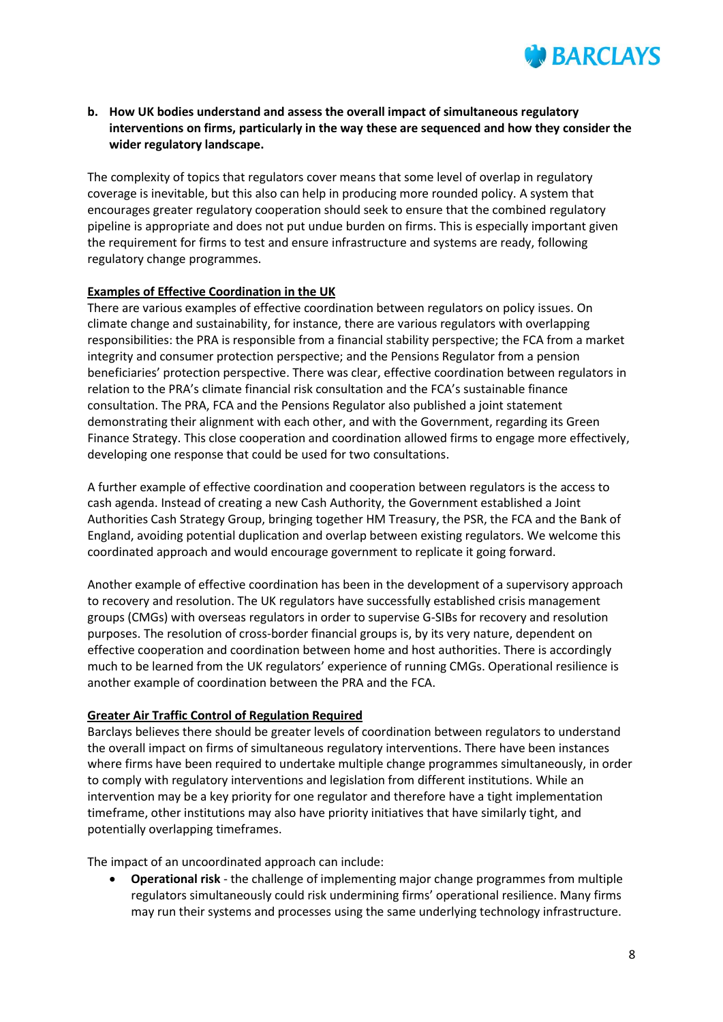

## **b. How UK bodies understand and assess the overall impact of simultaneous regulatory interventions on firms, particularly in the way these are sequenced and how they consider the wider regulatory landscape.**

The complexity of topics that regulators cover means that some level of overlap in regulatory coverage is inevitable, but this also can help in producing more rounded policy. A system that encourages greater regulatory cooperation should seek to ensure that the combined regulatory pipeline is appropriate and does not put undue burden on firms. This is especially important given the requirement for firms to test and ensure infrastructure and systems are ready, following regulatory change programmes.

#### **Examples of Effective Coordination in the UK**

There are various examples of effective coordination between regulators on policy issues. On climate change and sustainability, for instance, there are various regulators with overlapping responsibilities: the PRA is responsible from a financial stability perspective; the FCA from a market integrity and consumer protection perspective; and the Pensions Regulator from a pension beneficiaries' protection perspective. There was clear, effective coordination between regulators in relation to the PRA's climate financial risk consultation and the FCA's sustainable finance consultation. The PRA, FCA and the Pensions Regulator also published a joint statement demonstrating their alignment with each other, and with the Government, regarding its Green Finance Strategy. This close cooperation and coordination allowed firms to engage more effectively, developing one response that could be used for two consultations.

A further example of effective coordination and cooperation between regulators is the access to cash agenda. Instead of creating a new Cash Authority, the Government established a Joint Authorities Cash Strategy Group, bringing together HM Treasury, the PSR, the FCA and the Bank of England, avoiding potential duplication and overlap between existing regulators. We welcome this coordinated approach and would encourage government to replicate it going forward.

Another example of effective coordination has been in the development of a supervisory approach to recovery and resolution. The UK regulators have successfully established crisis management groups (CMGs) with overseas regulators in order to supervise G-SIBs for recovery and resolution purposes. The resolution of cross-border financial groups is, by its very nature, dependent on effective cooperation and coordination between home and host authorities. There is accordingly much to be learned from the UK regulators' experience of running CMGs. Operational resilience is another example of coordination between the PRA and the FCA.

#### **Greater Air Traffic Control of Regulation Required**

Barclays believes there should be greater levels of coordination between regulators to understand the overall impact on firms of simultaneous regulatory interventions. There have been instances where firms have been required to undertake multiple change programmes simultaneously, in order to comply with regulatory interventions and legislation from different institutions. While an intervention may be a key priority for one regulator and therefore have a tight implementation timeframe, other institutions may also have priority initiatives that have similarly tight, and potentially overlapping timeframes.

The impact of an uncoordinated approach can include:

 **Operational risk** - the challenge of implementing major change programmes from multiple regulators simultaneously could risk undermining firms' operational resilience. Many firms may run their systems and processes using the same underlying technology infrastructure.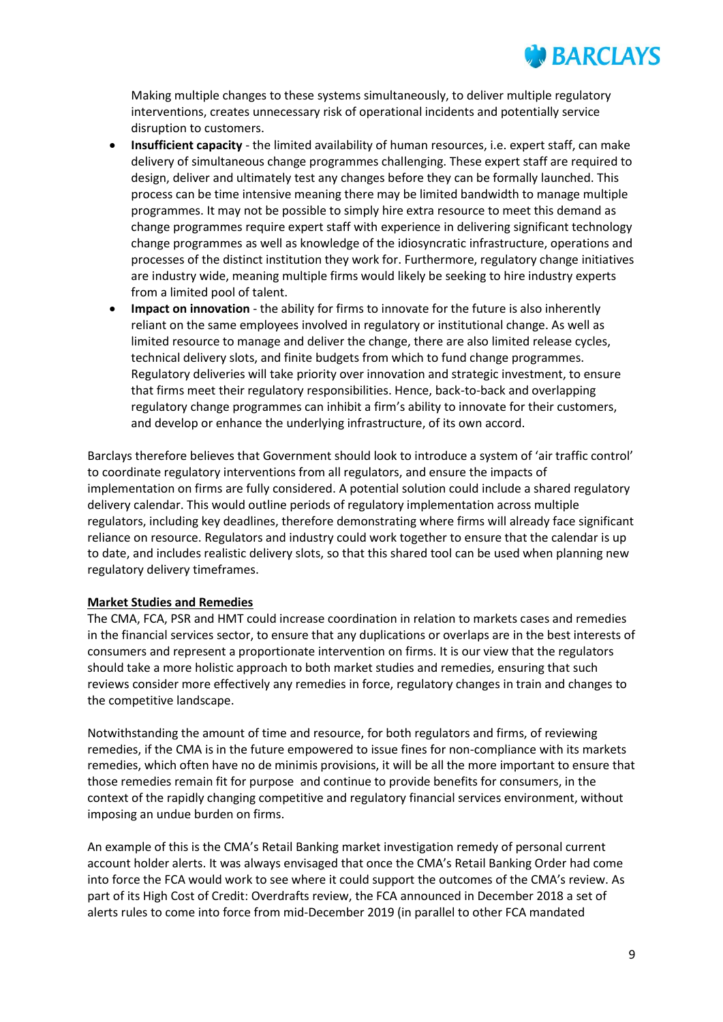

Making multiple changes to these systems simultaneously, to deliver multiple regulatory interventions, creates unnecessary risk of operational incidents and potentially service disruption to customers.

- **Insufficient capacity** the limited availability of human resources, i.e. expert staff, can make delivery of simultaneous change programmes challenging. These expert staff are required to design, deliver and ultimately test any changes before they can be formally launched. This process can be time intensive meaning there may be limited bandwidth to manage multiple programmes. It may not be possible to simply hire extra resource to meet this demand as change programmes require expert staff with experience in delivering significant technology change programmes as well as knowledge of the idiosyncratic infrastructure, operations and processes of the distinct institution they work for. Furthermore, regulatory change initiatives are industry wide, meaning multiple firms would likely be seeking to hire industry experts from a limited pool of talent.
- **Impact on innovation** the ability for firms to innovate for the future is also inherently reliant on the same employees involved in regulatory or institutional change. As well as limited resource to manage and deliver the change, there are also limited release cycles, technical delivery slots, and finite budgets from which to fund change programmes. Regulatory deliveries will take priority over innovation and strategic investment, to ensure that firms meet their regulatory responsibilities. Hence, back-to-back and overlapping regulatory change programmes can inhibit a firm's ability to innovate for their customers, and develop or enhance the underlying infrastructure, of its own accord.

Barclays therefore believes that Government should look to introduce a system of 'air traffic control' to coordinate regulatory interventions from all regulators, and ensure the impacts of implementation on firms are fully considered. A potential solution could include a shared regulatory delivery calendar. This would outline periods of regulatory implementation across multiple regulators, including key deadlines, therefore demonstrating where firms will already face significant reliance on resource. Regulators and industry could work together to ensure that the calendar is up to date, and includes realistic delivery slots, so that this shared tool can be used when planning new regulatory delivery timeframes.

#### **Market Studies and Remedies**

The CMA, FCA, PSR and HMT could increase coordination in relation to markets cases and remedies in the financial services sector, to ensure that any duplications or overlaps are in the best interests of consumers and represent a proportionate intervention on firms. It is our view that the regulators should take a more holistic approach to both market studies and remedies, ensuring that such reviews consider more effectively any remedies in force, regulatory changes in train and changes to the competitive landscape.

Notwithstanding the amount of time and resource, for both regulators and firms, of reviewing remedies, if the CMA is in the future empowered to issue fines for non-compliance with its markets remedies, which often have no de minimis provisions, it will be all the more important to ensure that those remedies remain fit for purpose and continue to provide benefits for consumers, in the context of the rapidly changing competitive and regulatory financial services environment, without imposing an undue burden on firms.

An example of this is the CMA's Retail Banking market investigation remedy of personal current account holder alerts. It was always envisaged that once the CMA's Retail Banking Order had come into force the FCA would work to see where it could support the outcomes of the CMA's review. As part of its High Cost of Credit: Overdrafts review, the FCA announced in December 2018 a set of alerts rules to come into force from mid-December 2019 (in parallel to other FCA mandated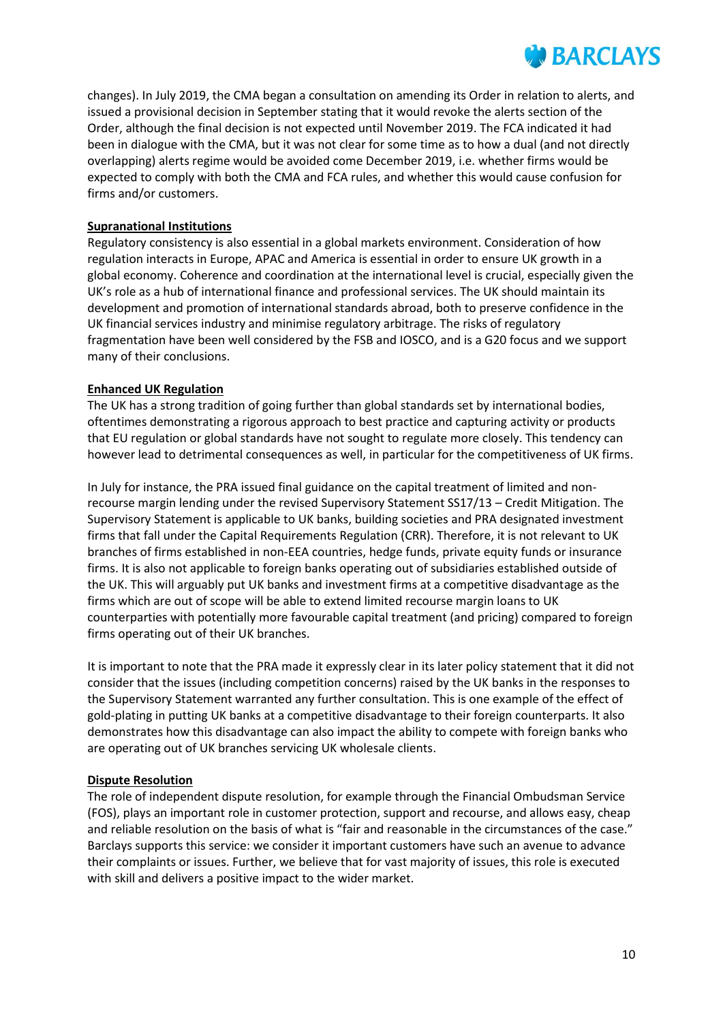changes). In July 2019, the CMA began a consultation on amending its Order in relation to alerts, and issued a provisional decision in September stating that it would revoke the alerts section of the Order, although the final decision is not expected until November 2019. The FCA indicated it had been in dialogue with the CMA, but it was not clear for some time as to how a dual (and not directly overlapping) alerts regime would be avoided come December 2019, i.e. whether firms would be expected to comply with both the CMA and FCA rules, and whether this would cause confusion for firms and/or customers.

## **Supranational Institutions**

Regulatory consistency is also essential in a global markets environment. Consideration of how regulation interacts in Europe, APAC and America is essential in order to ensure UK growth in a global economy. Coherence and coordination at the international level is crucial, especially given the UK's role as a hub of international finance and professional services. The UK should maintain its development and promotion of international standards abroad, both to preserve confidence in the UK financial services industry and minimise regulatory arbitrage. The risks of regulatory fragmentation have been well considered by the FSB and IOSCO, and is a G20 focus and we support many of their conclusions.

#### **Enhanced UK Regulation**

The UK has a strong tradition of going further than global standards set by international bodies, oftentimes demonstrating a rigorous approach to best practice and capturing activity or products that EU regulation or global standards have not sought to regulate more closely. This tendency can however lead to detrimental consequences as well, in particular for the competitiveness of UK firms.

In July for instance, the PRA issued final guidance on the capital treatment of limited and nonrecourse margin lending under the revised Supervisory Statement SS17/13 – Credit Mitigation. The Supervisory Statement is applicable to UK banks, building societies and PRA designated investment firms that fall under the Capital Requirements Regulation (CRR). Therefore, it is not relevant to UK branches of firms established in non-EEA countries, hedge funds, private equity funds or insurance firms. It is also not applicable to foreign banks operating out of subsidiaries established outside of the UK. This will arguably put UK banks and investment firms at a competitive disadvantage as the firms which are out of scope will be able to extend limited recourse margin loans to UK counterparties with potentially more favourable capital treatment (and pricing) compared to foreign firms operating out of their UK branches.

It is important to note that the PRA made it expressly clear in its later policy statement that it did not consider that the issues (including competition concerns) raised by the UK banks in the responses to the Supervisory Statement warranted any further consultation. This is one example of the effect of gold-plating in putting UK banks at a competitive disadvantage to their foreign counterparts. It also demonstrates how this disadvantage can also impact the ability to compete with foreign banks who are operating out of UK branches servicing UK wholesale clients.

#### **Dispute Resolution**

The role of independent dispute resolution, for example through the Financial Ombudsman Service (FOS), plays an important role in customer protection, support and recourse, and allows easy, cheap and reliable resolution on the basis of what is "fair and reasonable in the circumstances of the case." Barclays supports this service: we consider it important customers have such an avenue to advance their complaints or issues. Further, we believe that for vast majority of issues, this role is executed with skill and delivers a positive impact to the wider market.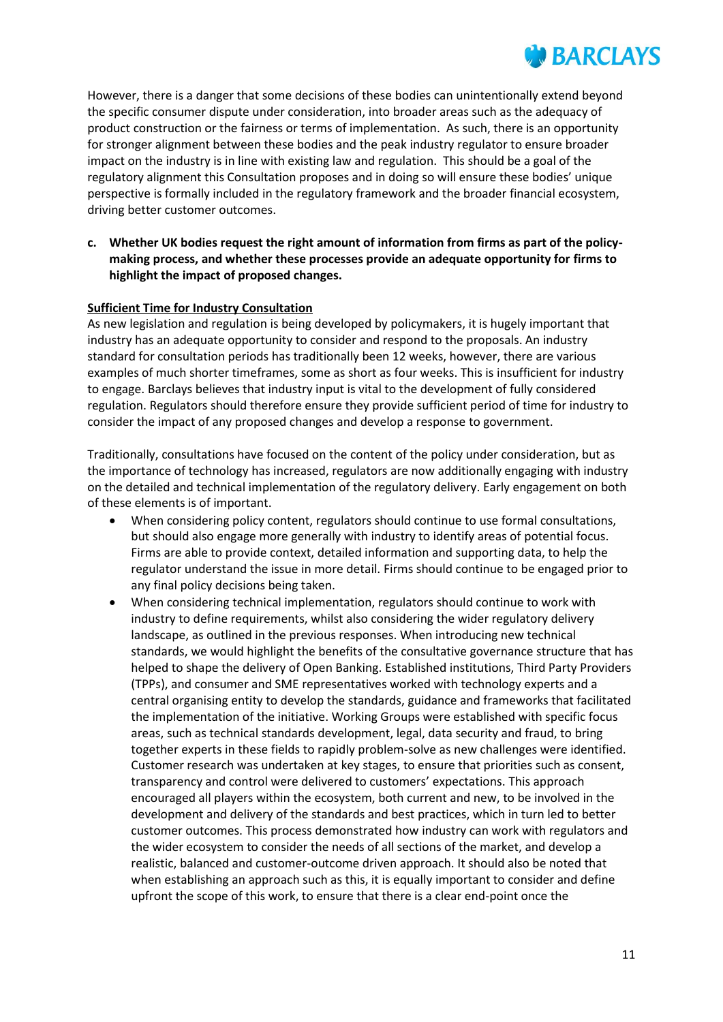However, there is a danger that some decisions of these bodies can unintentionally extend beyond the specific consumer dispute under consideration, into broader areas such as the adequacy of product construction or the fairness or terms of implementation. As such, there is an opportunity for stronger alignment between these bodies and the peak industry regulator to ensure broader impact on the industry is in line with existing law and regulation. This should be a goal of the regulatory alignment this Consultation proposes and in doing so will ensure these bodies' unique perspective is formally included in the regulatory framework and the broader financial ecosystem, driving better customer outcomes.

## **c. Whether UK bodies request the right amount of information from firms as part of the policymaking process, and whether these processes provide an adequate opportunity for firms to highlight the impact of proposed changes.**

## **Sufficient Time for Industry Consultation**

As new legislation and regulation is being developed by policymakers, it is hugely important that industry has an adequate opportunity to consider and respond to the proposals. An industry standard for consultation periods has traditionally been 12 weeks, however, there are various examples of much shorter timeframes, some as short as four weeks. This is insufficient for industry to engage. Barclays believes that industry input is vital to the development of fully considered regulation. Regulators should therefore ensure they provide sufficient period of time for industry to consider the impact of any proposed changes and develop a response to government.

Traditionally, consultations have focused on the content of the policy under consideration, but as the importance of technology has increased, regulators are now additionally engaging with industry on the detailed and technical implementation of the regulatory delivery. Early engagement on both of these elements is of important.

- When considering policy content, regulators should continue to use formal consultations, but should also engage more generally with industry to identify areas of potential focus. Firms are able to provide context, detailed information and supporting data, to help the regulator understand the issue in more detail. Firms should continue to be engaged prior to any final policy decisions being taken.
- When considering technical implementation, regulators should continue to work with industry to define requirements, whilst also considering the wider regulatory delivery landscape, as outlined in the previous responses. When introducing new technical standards, we would highlight the benefits of the consultative governance structure that has helped to shape the delivery of Open Banking. Established institutions, Third Party Providers (TPPs), and consumer and SME representatives worked with technology experts and a central organising entity to develop the standards, guidance and frameworks that facilitated the implementation of the initiative. Working Groups were established with specific focus areas, such as technical standards development, legal, data security and fraud, to bring together experts in these fields to rapidly problem-solve as new challenges were identified. Customer research was undertaken at key stages, to ensure that priorities such as consent, transparency and control were delivered to customers' expectations. This approach encouraged all players within the ecosystem, both current and new, to be involved in the development and delivery of the standards and best practices, which in turn led to better customer outcomes. This process demonstrated how industry can work with regulators and the wider ecosystem to consider the needs of all sections of the market, and develop a realistic, balanced and customer-outcome driven approach. It should also be noted that when establishing an approach such as this, it is equally important to consider and define upfront the scope of this work, to ensure that there is a clear end-point once the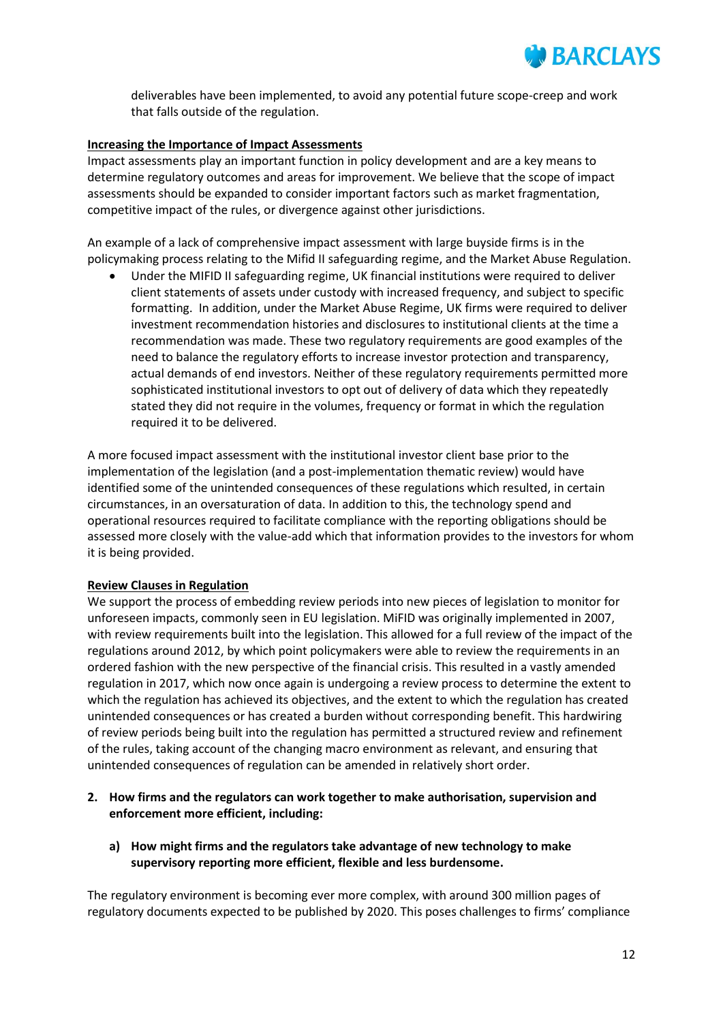

deliverables have been implemented, to avoid any potential future scope-creep and work that falls outside of the regulation.

#### **Increasing the Importance of Impact Assessments**

Impact assessments play an important function in policy development and are a key means to determine regulatory outcomes and areas for improvement. We believe that the scope of impact assessments should be expanded to consider important factors such as market fragmentation, competitive impact of the rules, or divergence against other jurisdictions.

An example of a lack of comprehensive impact assessment with large buyside firms is in the policymaking process relating to the Mifid II safeguarding regime, and the Market Abuse Regulation.

 Under the MIFID II safeguarding regime, UK financial institutions were required to deliver client statements of assets under custody with increased frequency, and subject to specific formatting. In addition, under the Market Abuse Regime, UK firms were required to deliver investment recommendation histories and disclosures to institutional clients at the time a recommendation was made. These two regulatory requirements are good examples of the need to balance the regulatory efforts to increase investor protection and transparency, actual demands of end investors. Neither of these regulatory requirements permitted more sophisticated institutional investors to opt out of delivery of data which they repeatedly stated they did not require in the volumes, frequency or format in which the regulation required it to be delivered.

A more focused impact assessment with the institutional investor client base prior to the implementation of the legislation (and a post-implementation thematic review) would have identified some of the unintended consequences of these regulations which resulted, in certain circumstances, in an oversaturation of data. In addition to this, the technology spend and operational resources required to facilitate compliance with the reporting obligations should be assessed more closely with the value-add which that information provides to the investors for whom it is being provided.

#### **Review Clauses in Regulation**

We support the process of embedding review periods into new pieces of legislation to monitor for unforeseen impacts, commonly seen in EU legislation. MiFID was originally implemented in 2007, with review requirements built into the legislation. This allowed for a full review of the impact of the regulations around 2012, by which point policymakers were able to review the requirements in an ordered fashion with the new perspective of the financial crisis. This resulted in a vastly amended regulation in 2017, which now once again is undergoing a review process to determine the extent to which the regulation has achieved its objectives, and the extent to which the regulation has created unintended consequences or has created a burden without corresponding benefit. This hardwiring of review periods being built into the regulation has permitted a structured review and refinement of the rules, taking account of the changing macro environment as relevant, and ensuring that unintended consequences of regulation can be amended in relatively short order.

- **2. How firms and the regulators can work together to make authorisation, supervision and enforcement more efficient, including:**
	- **a) How might firms and the regulators take advantage of new technology to make supervisory reporting more efficient, flexible and less burdensome.**

The regulatory environment is becoming ever more complex, with around 300 million pages of regulatory documents expected to be published by 2020. This poses challenges to firms' compliance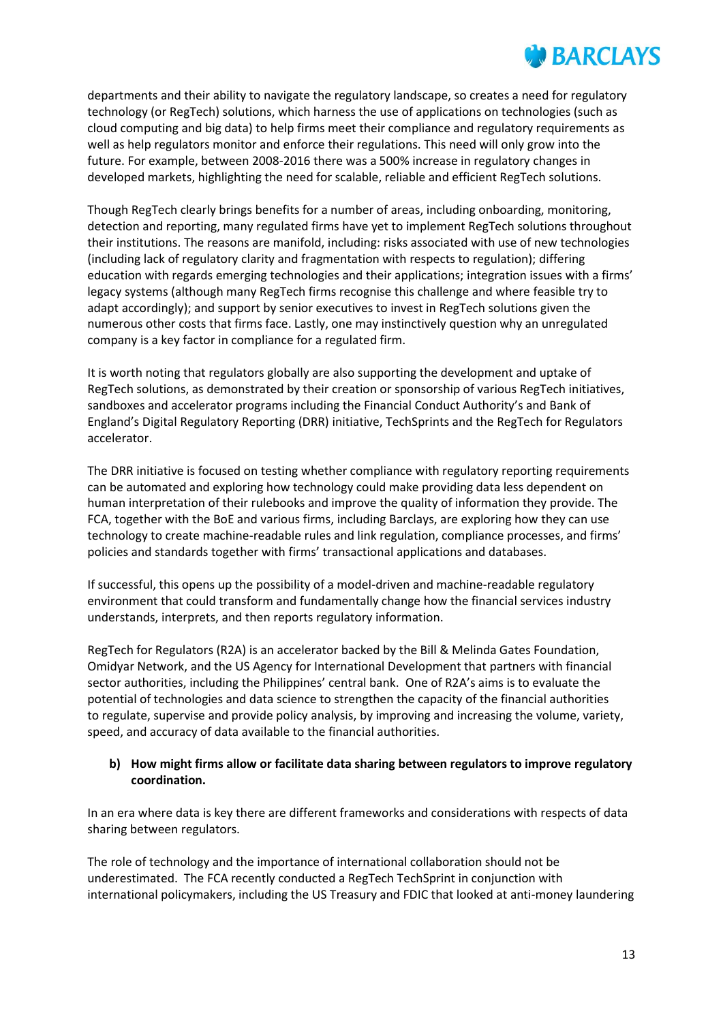departments and their ability to navigate the regulatory landscape, so creates a need for regulatory technology (or RegTech) solutions, which harness the use of applications on technologies (such as cloud computing and big data) to help firms meet their compliance and regulatory requirements as well as help regulators monitor and enforce their regulations. This need will only grow into the future. For example, between 2008-2016 there was a 500% increase in regulatory changes in developed markets, highlighting the need for scalable, reliable and efficient RegTech solutions.

Though RegTech clearly brings benefits for a number of areas, including onboarding, monitoring, detection and reporting, many regulated firms have yet to implement RegTech solutions throughout their institutions. The reasons are manifold, including: risks associated with use of new technologies (including lack of regulatory clarity and fragmentation with respects to regulation); differing education with regards emerging technologies and their applications; integration issues with a firms' legacy systems (although many RegTech firms recognise this challenge and where feasible try to adapt accordingly); and support by senior executives to invest in RegTech solutions given the numerous other costs that firms face. Lastly, one may instinctively question why an unregulated company is a key factor in compliance for a regulated firm.

It is worth noting that regulators globally are also supporting the development and uptake of RegTech solutions, as demonstrated by their creation or sponsorship of various RegTech initiatives, sandboxes and accelerator programs including the Financial Conduct Authority's and Bank of England's Digital Regulatory Reporting (DRR) initiative, TechSprints and the RegTech for Regulators accelerator.

The DRR initiative is focused on testing whether compliance with regulatory reporting requirements can be automated and exploring how technology could make providing data less dependent on human interpretation of their rulebooks and improve the quality of information they provide. The FCA, together with the BoE and various firms, including Barclays, are exploring how they can use technology to create machine-readable rules and link regulation, compliance processes, and firms' policies and standards together with firms' transactional applications and databases.

If successful, this opens up the possibility of a model-driven and machine-readable regulatory environment that could transform and fundamentally change how the financial services industry understands, interprets, and then reports regulatory information.

RegTech for Regulators (R2A) is an accelerator backed by the Bill & Melinda Gates Foundation, Omidyar Network, and the US Agency for International Development that partners with financial sector authorities, including the Philippines' central bank. One of R2A's aims is to evaluate the potential of technologies and data science to strengthen the capacity of the financial authorities to regulate, supervise and provide policy analysis, by improving and increasing the volume, variety, speed, and accuracy of data available to the financial authorities.

## **b) How might firms allow or facilitate data sharing between regulators to improve regulatory coordination.**

In an era where data is key there are different frameworks and considerations with respects of data sharing between regulators.

The role of technology and the importance of international collaboration should not be underestimated. The FCA recently conducted a RegTech TechSprint in conjunction with international policymakers, including the US Treasury and FDIC that looked at anti-money laundering